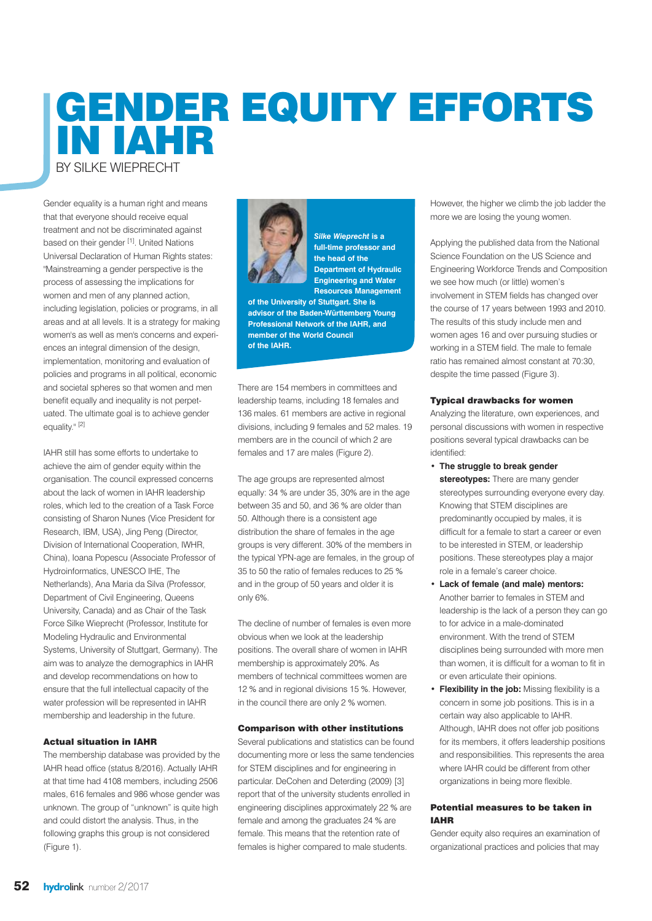# **GENDER EQUITY EFFORTS IN IAHR** BY SILKE WIEPRECHT

Gender equality is a human right and means that that everyone should receive equal treatment and not be discriminated against based on their gender [1]. United Nations Universal Declaration of Human Rights states: "Mainstreaming a gender perspective is the process of assessing the implications for women and men of any planned action. including legislation, policies or programs, in all areas and at all levels. It is a strategy for making women's as well as men's concerns and experiences an integral dimension of the design, implementation, monitoring and evaluation of policies and programs in all political, economic and societal spheres so that women and men benefit equally and inequality is not perpetuated. The ultimate goal is to achieve gender equality."<sup>[2]</sup>

IAHR still has some efforts to undertake to achieve the aim of gender equity within the organisation. The council expressed concerns about the lack of women in IAHR leadership roles, which led to the creation of a Task Force consisting of Sharon Nunes (Vice President for Research, IBM, USA), Jing Peng (Director, Division of International Cooperation, IWHR, China), Ioana Popescu (Associate Professor of Hydroinformatics, UNESCO IHE, The Netherlands), Ana Maria da Silva (Professor, Department of Civil Engineering, Queens University, Canada) and as Chair of the Task Force Silke Wieprecht (Professor, Institute for Modeling Hydraulic and Environmental Systems, University of Stuttgart, Germany). The aim was to analyze the demographics in IAHR and develop recommendations on how to ensure that the full intellectual capacity of the water profession will be represented in IAHR membership and leadership in the future.

## **Actual situation in IAHR**

The membership database was provided by the IAHR head office (status 8/2016). Actually IAHR at that time had 4108 members, including 2506 males, 616 females and 986 whose gender was unknown. The group of "unknown" is quite high and could distort the analysis. Thus, in the following graphs this group is not considered (Figure 1).



*Silke Wieprecht* **is a full-time professor and the head of the Department of Hydraulic Engineering and Water Resources Management**

**of the University of Stuttgart. She is advisor of the Baden-Württemberg Young Professional Network of the IAHR, and member of the World Council of the IAHR.**

There are 154 members in committees and leadership teams, including 18 females and 136 males. 61 members are active in regional divisions, including 9 females and 52 males. 19 members are in the council of which 2 are females and 17 are males (Figure 2).

The age groups are represented almost equally: 34 % are under 35, 30% are in the age between 35 and 50, and 36 % are older than 50. Although there is a consistent age distribution the share of females in the age groups is very different. 30% of the members in the typical YPN-age are females, in the group of 35 to 50 the ratio of females reduces to 25 % and in the group of 50 years and older it is only 6%.

The decline of number of females is even more obvious when we look at the leadership positions. The overall share of women in IAHR membership is approximately 20%. As members of technical committees women are 12 % and in regional divisions 15 %. However, in the council there are only 2 % women.

#### **Comparison with other institutions**

Several publications and statistics can be found documenting more or less the same tendencies for STEM disciplines and for engineering in particular. DeCohen and Deterding (2009) [3] report that of the university students enrolled in engineering disciplines approximately 22 % are female and among the graduates 24 % are female. This means that the retention rate of females is higher compared to male students.

However, the higher we climb the job ladder the more we are losing the young women.

Applying the published data from the National Science Foundation on the US Science and Engineering Workforce Trends and Composition we see how much (or little) women's involvement in STEM fields has changed over the course of 17 years between 1993 and 2010. The results of this study include men and women ages 16 and over pursuing studies or working in a STEM field. The male to female ratio has remained almost constant at 70:30, despite the time passed (Figure 3).

### **Typical drawbacks for women**

Analyzing the literature, own experiences, and personal discussions with women in respective positions several typical drawbacks can be identified:

- **The struggle to break gender stereotypes:** There are many gender stereotypes surrounding everyone every day. Knowing that STEM disciplines are predominantly occupied by males, it is difficult for a female to start a career or even to be interested in STEM, or leadership positions. These stereotypes play a major role in a female's career choice.
- **Lack of female (and male) mentors:** Another barrier to females in STEM and leadership is the lack of a person they can go to for advice in a male-dominated environment. With the trend of STEM disciplines being surrounded with more men than women, it is difficult for a woman to fit in or even articulate their opinions.
- **Flexibility in the job:** Missing flexibility is a concern in some job positions. This is in a certain way also applicable to IAHR. Although, IAHR does not offer job positions for its members, it offers leadership positions and responsibilities. This represents the area where IAHR could be different from other organizations in being more flexible.

### **Potential measures to be taken in IAHR**

Gender equity also requires an examination of organizational practices and policies that may